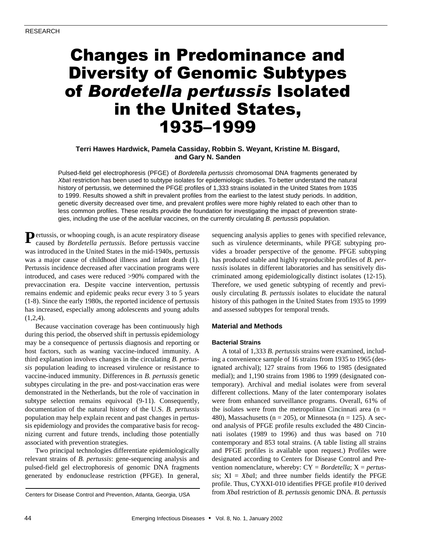# Changes in Predominance and Diversity of Genomic Subtypes of *Bordetella pertussis* Isolated in the United States, 1935–1999

# **Terri Hawes Hardwick, Pamela Cassiday, Robbin S. Weyant, Kristine M. Bisgard, and Gary N. Sanden**

Pulsed-field gel electrophoresis (PFGE) of *Bordetella pertussis* chromosomal DNA fragments generated by *Xba*I restriction has been used to subtype isolates for epidemiologic studies. To better understand the natural history of pertussis, we determined the PFGE profiles of 1,333 strains isolated in the United States from 1935 to 1999. Results showed a shift in prevalent profiles from the earliest to the latest study periods. In addition, genetic diversity decreased over time, and prevalent profiles were more highly related to each other than to less common profiles. These results provide the foundation for investigating the impact of prevention strategies, including the use of the acellular vaccines, on the currently circulating *B. pertussis* population.

**P** ertussis, or whooping cough, is an acute respiratory disease caused by *Bordetella pertussis*. Before pertussis vaccine caused by *Bordetella pertussis*. Before pertussis vaccine was introduced in the United States in the mid-1940s, pertussis was a major cause of childhood illness and infant death (1). Pertussis incidence decreased after vaccination programs were introduced, and cases were reduced >90% compared with the prevaccination era. Despite vaccine intervention, pertussis remains endemic and epidemic peaks recur every 3 to 5 years (1-8). Since the early 1980s, the reported incidence of pertussis has increased, especially among adolescents and young adults  $(1,2,4)$ .

Because vaccination coverage has been continuously high during this period, the observed shift in pertussis epidemiology may be a consequence of pertussis diagnosis and reporting or host factors, such as waning vaccine-induced immunity. A third explanation involves changes in the circulating *B. pertussis* population leading to increased virulence or resistance to vaccine-induced immunity. Differences in *B. pertussis* genetic subtypes circulating in the pre- and post-vaccination eras were demonstrated in the Netherlands, but the role of vaccination in subtype selection remains equivocal (9-11). Consequently, documentation of the natural history of the U.S. *B. pertussis* population may help explain recent and past changes in pertussis epidemiology and provides the comparative basis for recognizing current and future trends, including those potentially associated with prevention strategies.

Two principal technologies differentiate epidemiologically relevant strains of *B. pertussis*: gene-sequencing analysis and pulsed-field gel electrophoresis of genomic DNA fragments generated by endonuclease restriction (PFGE). In general, sequencing analysis applies to genes with specified relevance, such as virulence determinants, while PFGE subtyping provides a broader perspective of the genome. PFGE subtyping has produced stable and highly reproducible profiles of *B. pertussis* isolates in different laboratories and has sensitively discriminated among epidemiologically distinct isolates (12-15). Therefore, we used genetic subtyping of recently and previously circulating *B. pertussis* isolates to elucidate the natural history of this pathogen in the United States from 1935 to 1999 and assessed subtypes for temporal trends.

#### **Material and Methods**

#### **Bacterial Strains**

A total of 1,333 *B. pertussis* strains were examined, including a convenience sample of 16 strains from 1935 to 1965 (designated archival); 127 strains from 1966 to 1985 (designated medial); and 1,190 strains from 1986 to 1999 (designated contemporary). Archival and medial isolates were from several different collections. Many of the later contemporary isolates were from enhanced surveillance programs. Overall, 61% of the isolates were from the metropolitan Cincinnati area  $(n =$ 480), Massachusetts ( $n = 205$ ), or Minnesota ( $n = 125$ ). A second analysis of PFGE profile results excluded the 480 Cincinnati isolates (1989 to 1996) and thus was based on 710 contemporary and 853 total strains. (A table listing all strains and PFGE profiles is available upon request.) Profiles were designated according to Centers for Disease Control and Prevention nomenclature, whereby: CY = *Bordetella*; X = *pertussis*; XI = *Xba*I; and three number fields identify the PFGE profile. Thus, CYXXI-010 identifies PFGE profile #10 derived from *Xba*I restriction of *B. pertussis* genomic DNA. *B. pertussis* Centers for Disease Control and Prevention, Atlanta, Georgia, USA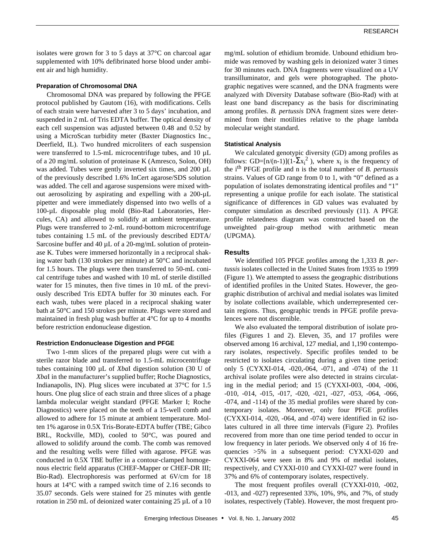isolates were grown for 3 to 5 days at 37°C on charcoal agar supplemented with 10% defibrinated horse blood under ambient air and high humidity.

#### **Preparation of Chromosomal DNA**

Chromosomal DNA was prepared by following the PFGE protocol published by Gautom (16), with modifications. Cells of each strain were harvested after 3 to 5 days' incubation, and suspended in 2 mL of Tris EDTA buffer. The optical density of each cell suspension was adjusted between 0.48 and 0.52 by using a MicroScan turbidity meter (Baxter Diagnostics Inc., Deerfield, IL). Two hundred microliters of each suspension were transferred to 1.5-mL microcentrifuge tubes, and 10 µL of a 20 mg/mL solution of proteinase K (Amresco, Solon, OH) was added. Tubes were gently inverted six times, and 200 µL of the previously described 1.6% InCert agarose/SDS solution was added. The cell and agarose suspensions were mixed without aerosolizing by aspirating and expelling with a 200-µL pipetter and were immediately dispensed into two wells of a 100-µL disposable plug mold (Bio-Rad Laboratories, Hercules, CA) and allowed to solidify at ambient temperature. Plugs were transferred to 2-mL round-bottom microcentrifuge tubes containing 1.5 mL of the previously described EDTA/ Sarcosine buffer and 40  $\mu$ L of a 20-mg/mL solution of proteinase K. Tubes were immersed horizontally in a reciprocal shaking water bath (130 strokes per minute) at 50°C and incubated for 1.5 hours. The plugs were then transferred to 50-mL conical centrifuge tubes and washed with 10 mL of sterile distilled water for 15 minutes, then five times in 10 mL of the previously described Tris EDTA buffer for 30 minutes each. For each wash, tubes were placed in a reciprocal shaking water bath at 50°C and 150 strokes per minute. Plugs were stored and maintained in fresh plug wash buffer at 4°C for up to 4 months before restriction endonuclease digestion.

#### **Restriction Endonuclease Digestion and PFGE**

Two 1-mm slices of the prepared plugs were cut with a sterile razor blade and transferred to 1.5-mL microcentrifuge tubes containing 100 µL of *Xba*I digestion solution (30 U of *Xba*I in the manufacturer's supplied buffer; Roche Diagnostics, Indianapolis, IN). Plug slices were incubated at 37°C for 1.5 hours. One plug slice of each strain and three slices of a phage lambda molecular weight standard (PFGE Marker I; Roche Diagnostics) were placed on the teeth of a 15-well comb and allowed to adhere for 15 minute at ambient temperature. Molten 1% agarose in 0.5X Tris-Borate-EDTA buffer (TBE; Gibco BRL, Rockville, MD), cooled to 50°C, was poured and allowed to solidify around the comb. The comb was removed and the resulting wells were filled with agarose. PFGE was conducted in 0.5X TBE buffer in a contour-clamped homogenous electric field apparatus (CHEF-Mapper or CHEF-DR III; Bio-Rad). Electrophoresis was performed at 6V/cm for 18 hours at 14°C with a ramped switch time of 2.16 seconds to 35.07 seconds. Gels were stained for 25 minutes with gentle rotation in 250 mL of deionized water containing 25 µL of a 10

mg/mL solution of ethidium bromide. Unbound ethidium bromide was removed by washing gels in deionized water 3 times for 30 minutes each. DNA fragments were visualized on a UV transilluminator, and gels were photographed. The photographic negatives were scanned, and the DNA fragments were analyzed with Diversity Database software (Bio-Rad) with at least one band discrepancy as the basis for discriminating among profiles. *B. pertussis* DNA fragment sizes were determined from their motilities relative to the phage lambda molecular weight standard.

## **Statistical Analysis**

We calculated genotypic diversity (GD) among profiles as follows: GD=[n/(n-1)](1- $\Sigma x_i^2$ ), where  $x_i$  is the frequency of the i th PFGE profile and n is the total number of *B. pertussis* strains. Values of GD range from 0 to 1, with "0" defined as a population of isolates demonstrating identical profiles and "1" representing a unique profile for each isolate. The statistical significance of differences in GD values was evaluated by computer simulation as described previously (11). A PFGE profile relatedness diagram was constructed based on the unweighted pair-group method with arithmetic mean (UPGMA).

## **Results**

We identified 105 PFGE profiles among the 1,333 *B. pertussis* isolates collected in the United States from 1935 to 1999 (Figure 1). We attempted to assess the geographic distributions of identified profiles in the United States. However, the geographic distribution of archival and medial isolates was limited by isolate collections available, which underrepresented certain regions. Thus, geographic trends in PFGE profile prevalences were not discernible.

We also evaluated the temporal distribution of isolate profiles (Figures 1 and 2). Eleven, 35, and 17 profiles were observed among 16 archival, 127 medial, and 1,190 contemporary isolates, respectively. Specific profiles tended to be restricted to isolates circulating during a given time period: only 5 (CYXXI-014, -020,-064, -071, and -074) of the 11 archival isolate profiles were also detected in strains circulating in the medial period; and 15 (CYXXI-003, -004, -006, -010, -014, -015, -017, -020, -021, -027, -053, -064, -066, -074, and -114) of the 35 medial profiles were shared by contemporary isolates. Moreover, only four PFGE profiles (CYXXI-014, -020, -064, and -074) were identified in 62 isolates cultured in all three time intervals (Figure 2). Profiles recovered from more than one time period tended to occur in low frequency in later periods. We observed only 4 of 16 frequencies >5% in a subsequent period: CYXXI-020 and CYXXI-064 were seen in 8% and 9% of medial isolates, respectively, and CYXXI-010 and CYXXI-027 were found in 37% and 6% of contemporary isolates, respectively.

The most frequent profiles overall (CYXXI-010, -002, -013, and -027) represented 33%, 10%, 9%, and 7%, of study isolates, respectively (Table). However, the most frequent pro-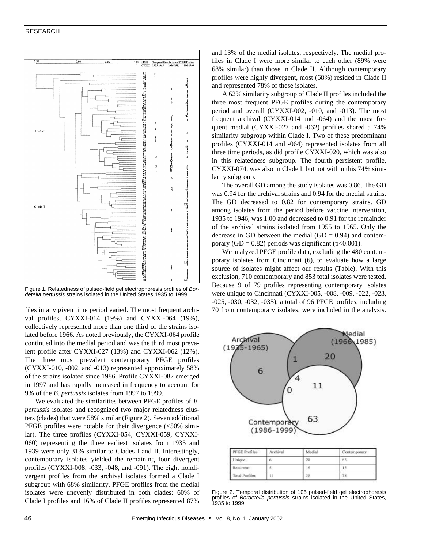#### RESEARCH



Figure 1. Relatedness of pulsed-field gel electrophoresis profiles of *Bordetella pertussis* strains isolated in the United States,1935 to 1999.

files in any given time period varied. The most frequent archival profiles, CYXXI-014 (19%) and CYXXI-064 (19%), collectively represented more than one third of the strains isolated before 1966. As noted previously, the CYXXI-064 profile continued into the medial period and was the third most prevalent profile after CYXXI-027 (13%) and CYXXI-062 (12%). The three most prevalent contemporary PFGE profiles (CYXXI-010, -002, and -013) represented approximately 58% of the strains isolated since 1986. Profile CYXXI-082 emerged in 1997 and has rapidly increased in frequency to account for 9% of the *B*. *pertussis* isolates from 1997 to 1999.

We evaluated the similarities between PFGE profiles of *B. pertussis* isolates and recognized two major relatedness clusters (clades) that were 58% similar (Figure 2). Seven additional PFGE profiles were notable for their divergence (<50% similar). The three profiles (CYXXI-054, CYXXI-059, CYXXI-060) representing the three earliest isolates from 1935 and 1939 were only 31% similar to Clades I and II. Interestingly, contemporary isolates yielded the remaining four divergent profiles (CYXXI-008, -033, -048, and -091). The eight nondivergent profiles from the archival isolates formed a Clade I subgroup with 68% similarity. PFGE profiles from the medial isolates were unevenly distributed in both clades: 60% of Clade I profiles and 16% of Clade II profiles represented 87%

and 13% of the medial isolates, respectively. The medial profiles in Clade I were more similar to each other (89% were 68% similar) than those in Clade II. Although contemporary profiles were highly divergent, most (68%) resided in Clade II and represented 78% of these isolates.

A 62% similarity subgroup of Clade II profiles included the three most frequent PFGE profiles during the contemporary period and overall (CYXXI-002, -010, and -013). The most frequent archival (CYXXI-014 and -064) and the most frequent medial (CYXXI-027 and -062) profiles shared a 74% similarity subgroup within Clade I. Two of these predominant profiles (CYXXI-014 and -064) represented isolates from all three time periods, as did profile CYXXI-020, which was also in this relatedness subgroup. The fourth persistent profile, CYXXI-074, was also in Clade I, but not within this 74% similarity subgroup.

The overall GD among the study isolates was 0.86. The GD was 0.94 for the archival strains and 0.94 for the medial strains. The GD decreased to 0.82 for contemporary strains. GD among isolates from the period before vaccine intervention, 1935 to 1946, was 1.00 and decreased to 0.91 for the remainder of the archival strains isolated from 1955 to 1965. Only the decrease in GD between the medial  $(GD = 0.94)$  and contemporary (GD = 0.82) periods was significant ( $p<0.001$ ).

We analyzed PFGE profile data, excluding the 480 contemporary isolates from Cincinnati (6), to evaluate how a large source of isolates might affect our results (Table). With this exclusion, 710 contemporary and 853 total isolates were tested. Because 9 of 79 profiles representing contemporary isolates were unique to Cincinnati (CYXXI-005, -008, -009, -022, -023, -025, -030, -032, -035), a total of 96 PFGE profiles, including 70 from contemporary isolates, were included in the analysis.



Figure 2. Temporal distribution of 105 pulsed-field gel electrophoresis profiles of *Bordetella pertussis* strains isolated in the United States, 1935 to 1999.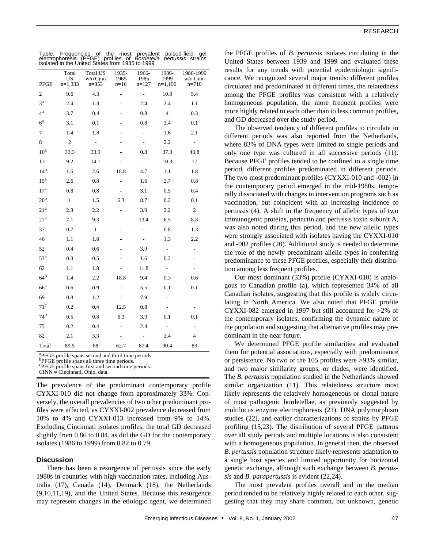| Table. Frequencies of the most<br>prevalent<br>pulsed-field<br>qel<br>electrophoresis (PFGE) profiles of<br>Bordetella<br><i>pertussis</i> strains<br>isolated in the United States from 1935 to 1999 |                          |                                          |                         |                          |                            |                                  |
|-------------------------------------------------------------------------------------------------------------------------------------------------------------------------------------------------------|--------------------------|------------------------------------------|-------------------------|--------------------------|----------------------------|----------------------------------|
| PFGE                                                                                                                                                                                                  | Total<br>US<br>$n=1,333$ | <b>Total US</b><br>w/o Cinn<br>$n = 853$ | 1935-<br>1965<br>$n=16$ | 1966-<br>1985<br>$n=127$ | 1986-<br>1999<br>$n=1,190$ | 1986-1999<br>w/o Cinn<br>$n=710$ |
| 2                                                                                                                                                                                                     | 9.6                      | 4.3                                      | $\overline{a}$          | $\overline{a}$           | 10.8                       | 5.4                              |
| 3 <sup>a</sup>                                                                                                                                                                                        | 2.4                      | 1.3                                      |                         | 2.4                      | 2.4                        | 1.1                              |
| $4^{\rm a}$                                                                                                                                                                                           | 3.7                      | 0.4                                      |                         | 0.8                      | $\overline{4}$             | 0.3                              |
| 6 <sup>a</sup>                                                                                                                                                                                        | 3.1                      | 0.1                                      |                         | 0.8                      | 3.4                        | 0.1                              |
| 7                                                                                                                                                                                                     | 1.4                      | 1.8                                      |                         |                          | 1.6                        | 2.1                              |
| 8                                                                                                                                                                                                     | 2                        | $\overline{\phantom{0}}$                 |                         |                          | 2.2                        | $\frac{1}{2}$                    |
| 10 <sup>a</sup>                                                                                                                                                                                       | 33.3                     | 33.9                                     |                         | 0.8                      | 37.3                       | 40.8                             |
| 13                                                                                                                                                                                                    | 9.2                      | 14.1                                     | L.                      | $\overline{\phantom{a}}$ | 10.3                       | 17                               |
| 14 <sup>b</sup>                                                                                                                                                                                       | 1.6                      | 2.6                                      | 18.8                    | 4.7                      | 1.1                        | 1.8                              |
| 15 <sup>a</sup>                                                                                                                                                                                       | 2.6                      | 0.8                                      |                         | 1.6                      | 2.7                        | 0.8                              |
| 17 <sup>a</sup>                                                                                                                                                                                       | 0.8                      | 0.8                                      |                         | 3.1                      | 0.5                        | 0.4                              |
| 20 <sup>b</sup>                                                                                                                                                                                       | $\mathbf{1}$             | 1.5                                      | 6.3                     | 8.7                      | 0.2                        | 0.1                              |
| 21 <sup>a</sup>                                                                                                                                                                                       | 2.3                      | 2.2                                      | $\overline{a}$          | 3.9                      | 2.2                        | $\overline{c}$                   |
| 27 <sup>a</sup>                                                                                                                                                                                       | 7.1                      | 9.3                                      |                         | 13.4                     | 6.5                        | 8.8                              |
| 37                                                                                                                                                                                                    | 0.7                      | 1                                        |                         | $\overline{a}$           | 0.8                        | 1.3                              |
| 46                                                                                                                                                                                                    | 1.1                      | 1.8                                      |                         |                          | 1.3                        | 2.2                              |
| 52                                                                                                                                                                                                    | 0.4                      | 0.6                                      |                         | 3.9                      | $\overline{\phantom{a}}$   | $\overline{a}$                   |
| 53 <sup>a</sup>                                                                                                                                                                                       | 0.3                      | 0.5                                      |                         | 1.6                      | 0.2                        | $\overline{\phantom{0}}$         |
| 62                                                                                                                                                                                                    | 1.1                      | 1.8                                      |                         | 11.8                     | $\overline{\phantom{a}}$   | $\overline{\phantom{a}}$         |
| 64 <sup>b</sup>                                                                                                                                                                                       | 1.4                      | 2.2                                      | 18.8                    | 9.4                      | 0.3                        | 0.6                              |
| 66 <sup>a</sup>                                                                                                                                                                                       | 0.6                      | 0.9                                      |                         | 5.5                      | 0.1                        | 0.1                              |
| 69                                                                                                                                                                                                    | 0.8                      | 1.2                                      |                         | 7.9                      | Ĭ.                         | $\overline{a}$                   |
| 71 <sup>c</sup>                                                                                                                                                                                       | 0.2                      | 0.4                                      | 12.5                    | 0.8                      | $\frac{1}{2}$              | ۰                                |
| 74 <sup>b</sup>                                                                                                                                                                                       | 0.5                      | 0.8                                      | 6.3                     | 3.9                      | 0.1                        | 0.1                              |
| 75                                                                                                                                                                                                    | 0.2                      | 0.4                                      |                         | 2.4                      |                            | $\overline{\phantom{0}}$         |
| 82                                                                                                                                                                                                    | 2.1                      | 3.3                                      |                         |                          | 2.4                        | 4                                |
| Total                                                                                                                                                                                                 | 89.5                     | 88                                       | 62.7                    | 87.4                     | 90.4                       | 89                               |

<sup>a</sup>PFGE profile spans second and third time periods.

**bPFGE** profile spans all three time periods.

<sup>c</sup>PFGE profile spans first and second time periods.

CINN = Cincinnati, Ohio, data.

The prevalence of the predominant contemporary profile CYXXI-010 did not change from approximately 33%. Conversely, the overall prevalencies of two other predominant profiles were affected, as CYXXI-002 prevalence decreased from 10% to 4% and CYXXI-013 increased from 9% to 14%. Excluding Cincinnati isolates profiles, the total GD decreased slightly from 0.86 to 0.84, as did the GD for the contemporary isolates (1986 to 1999) from 0.82 to 0.79.

#### **Discussion**

There has been a resurgence of pertussis since the early 1980s in countries with high vaccination rates, including Australia (17), Canada (14), Denmark (18), the Netherlands (9,10,11,19), and the United States. Because this resurgence may represent changes in the etiologic agent, we determined

the PFGE profiles of *B. pertussis* isolates circulating in the United States between 1939 and 1999 and evaluated these results for any trends with potential epidemiologic significance. We recognized several major trends: different profiles circulated and predominated at different times, the relatedness among the PFGE profiles was consistent with a relatively homogeneous population, the more frequent profiles were more highly related to each other than to less common profiles, and GD decreased over the study period.

The observed tendency of different profiles to circulate in different periods was also reported from the Netherlands, where 83% of DNA types were limited to single periods and only one type was cultured in all successive periods (11). Because PFGE profiles tended to be confined to a single time period, different profiles predominated in different periods. The two most predominant profiles (CYXXI-010 and -002) in the contemporary period emerged in the mid-1980s, temporally dissociated with changes in intervention programs such as vaccination, but coincident with an increasing incidence of pertussis (4). A shift in the frequency of allelic types of two immunogenic proteins, pertactin and pertussis toxin subunit A, was also noted during this period, and the new allelic types were strongly associated with isolates having the CYXXI-010 and -002 profiles (20). Additional study is needed to determine the role of the newly predominant allelic types in conferring predominance to these PFGE profiles, especially their distribution among less frequent profiles.

Our most dominant (33%) profile (CYXXI-010) is analogous to Canadian profile (a), which represented 34% of all Canadian isolates, suggesting that this profile is widely circulating in North America. We also noted that PFGE profile CYXXI-082 emerged in 1997 but still accounted for >2% of the contemporary isolates, confirming the dynamic nature of the population and suggesting that alternative profiles may predominant in the near future.

We determined PFGE profile similarities and evaluated them for potential associations, especially with predominance or persistence. No two of the 105 profiles were >93% similar, and two major similarity groups, or clades, were identified. The *B. pertussis* population studied in the Netherlands showed similar organization (11). This relatedness structure most likely represents the relatively homogeneous or clonal nature of most pathogenic bordetellae, as previously suggested by multilocus enzyme electrophoresis (21), DNA polymorphism studies (22), and earlier characterizations of strains by PFGE profiling (15,23). The distribution of several PFGE patterns over all study periods and multiple locations is also consistent with a homogeneous population. In general then, the observed *B. pertussis* population structure likely represents adaptation to a single host species and limited opportunity for horizontal genetic exchange, although such exchange between *B. pertussis* and *B. parapertussis* is evident (22,24).

The most prevalent profiles overall and in the median period tended to be relatively highly related to each other, suggesting that they may share common, but unknown, genetic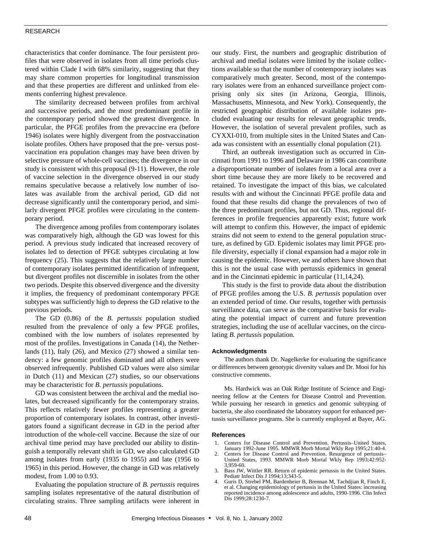#### RESEARCH

characteristics that confer dominance. The four persistent profiles that were observed in isolates from all time periods clustered within Clade I with 68% similarity, suggesting that they may share common properties for longitudinal transmission and that these properties are different and unlinked from elements conferring highest prevalence.

The similarity decreased between profiles from archival and successive periods, and the most predominant profile in the contemporary period showed the greatest divergence. In particular, the PFGE profiles from the prevaccine era (before 1946) isolates were highly divergent from the postvaccination isolate profiles. Others have proposed that the pre- versus postvaccination era population changes may have been driven by selective pressure of whole-cell vaccines; the divergence in our study is consistent with this proposal (9-11). However, the role of vaccine selection in the divergence observed in our study remains speculative because a relatively low number of isolates was available from the archival period, GD did not decrease significantly until the contemporary period, and similarly divergent PFGE profiles were circulating in the contemporary period.

The divergence among profiles from contemporary isolates was comparatively high, although the GD was lowest for this period. A previous study indicated that increased recovery of isolates led to detection of PFGE subtypes circulating at low frequency (25). This suggests that the relatively large number of contemporary isolates permitted identification of infrequent, but divergent profiles not discernible in isolates from the other two periods. Despite this observed divergence and the diversity it implies, the frequency of predominant contemporary PFGE subtypes was sufficiently high to depress the GD relative to the previous periods.

The GD (0.86) of the *B. pertussis* population studied resulted from the prevalence of only a few PFGE profiles, combined with the low numbers of isolates represented by most of the profiles. Investigations in Canada (14), the Netherlands (11), Italy (26), and Mexico (27) showed a similar tendency: a few genomic profiles dominated and all others were observed infrequently. Published GD values were also similar in Dutch (11) and Mexican (27) studies, so our observations may be characteristic for *B. pertussis* populations.

GD was consistent between the archival and the medial isolates, but decreased significantly for the contemporary strains. This reflects relatively fewer profiles representing a greater proportion of contemporary isolates. In contrast, other investigators found a significant decrease in GD in the period after introduction of the whole-cell vaccine. Because the size of our archival time period may have precluded our ability to distinguish a temporally relevant shift in GD, we also calculated GD among isolates from early (1935 to 1955) and late (1956 to 1965) in this period. However, the change in GD was relatively modest, from 1.00 to 0.93.

Evaluating the population structure of *B. pertussis* requires sampling isolates representative of the natural distribution of circulating strains. Three sampling artifacts were inherent in our study. First, the numbers and geographic distribution of archival and medial isolates were limited by the isolate collections available so that the number of contemporary isolates was comparatively much greater. Second, most of the contemporary isolates were from an enhanced surveillance project comprising only six sites (in Arizona, Georgia, Illinois, Massachusetts, Minnesota, and New York). Consequently, the restricted geographic distribution of available isolates precluded evaluating our results for relevant geographic trends. However, the isolation of several prevalent profiles, such as CYXXI-010, from multiple sites in the United States and Canada was consistent with an essentially clonal population (21).

Third, an outbreak investigation such as occurred in Cincinnati from 1991 to 1996 and Delaware in 1986 can contribute a disproportionate number of isolates from a local area over a short time because they are more likely to be recovered and retained. To investigate the impact of this bias, we calculated results with and without the Cincinnati PFGE profile data and found that these results did change the prevalences of two of the three predominant profiles, but not GD. Thus, regional differences in profile frequencies apparently exist; future work will attempt to confirm this. However, the impact of epidemic strains did not seem to extend to the general population structure, as defined by GD. Epidemic isolates may limit PFGE profile diversity, especially if clonal expansion had a major role in causing the epidemic. However, we and others have shown that this is not the usual case with pertussis epidemics in general and in the Cincinnati epidemic in particular (11,14,24).

This study is the first to provide data about the distribution of PFGE profiles among the U.S. *B. pertussis* population over an extended period of time. Our results, together with pertussis surveillance data, can serve as the comparative basis for evaluating the potential impact of current and future prevention strategies, including the use of acellular vaccines, on the circulating *B. pertussis* population.

#### **Acknowledgments**

The authors thank Dr. Nagelkerke for evaluating the significance or differences between genotypic diversity values and Dr. Mooi for his constructive comments.

Ms. Hardwick was an Oak Ridge Institute of Science and Engineering fellow at the Centers for Disease Control and Prevention. While pursuing her research in genetics and genomic subtyping of bacteria, she also coordinated the laboratory support for enhanced pertussis surveillance programs. She is currently employed at Bayer, AG.

#### **References**

- 1. Centers for Disease Control and Prevention. Pertussis–United States, January 1992-June 1995. MMWR Morb Mortal Wkly Rep 1995;21:40-4.
- 2. Centers for Disease Control and Prevention. Resurgence of pertussis– United States, 1993. MMWR Morb Mortal Wkly Rep 1993;42:952- 3,959-60.
- Bass JW, Wittler RR. Return of epidemic pertussis in the United States. Pediatr Infect Dis J 1994;13;343-5.
- 4. Guris D, Strebel PM, Bardenheier B, Brennan M, Tachdjian R, Finch E, et al. Changing epidemiology of pertussis in the United States: increasing reported incidence among adolescence and adults, 1990-1996. Clin Infect Dis 1999;28:1230-7.